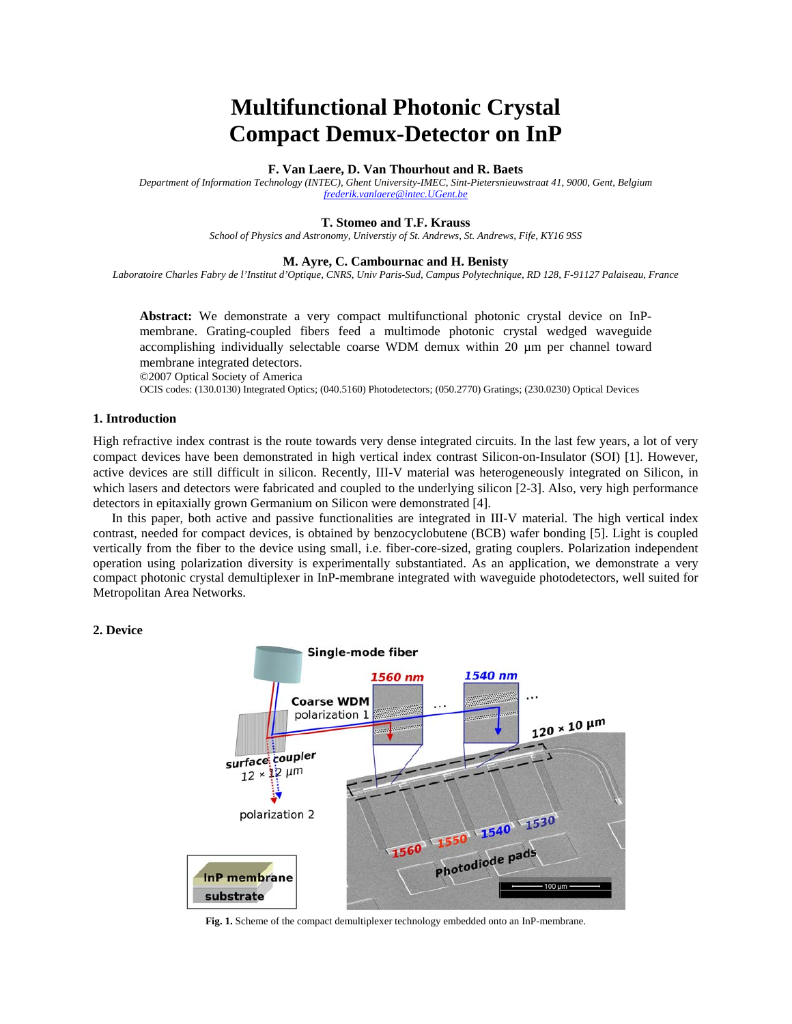# **Multifunctional Photonic Crystal Compact Demux-Detector on InP**

#### **F. Van Laere, D. Van Thourhout and R. Baets**

*Department of Information Technology (INTEC), Ghent University-IMEC, Sint-Pietersnieuwstraat 41, 9000, Gent, Belgium frederik.vanlaere@intec.UGent.be*

## **T. Stomeo and T.F. Krauss**

*School of Physics and Astronomy, Universtiy of St. Andrews, St. Andrews, Fife, KY16 9SS* 

#### **M. Ayre, C. Cambournac and H. Benisty**

*Laboratoire Charles Fabry de l'Institut d'Optique, CNRS, Univ Paris-Sud, Campus Polytechnique, RD 128, F-91127 Palaiseau, France* 

**Abstract:** We demonstrate a very compact multifunctional photonic crystal device on InPmembrane. Grating-coupled fibers feed a multimode photonic crystal wedged waveguide accomplishing individually selectable coarse WDM demux within 20 µm per channel toward membrane integrated detectors.

©2007 Optical Society of America

OCIS codes: (130.0130) Integrated Optics; (040.5160) Photodetectors; (050.2770) Gratings; (230.0230) Optical Devices

## **1. Introduction**

High refractive index contrast is the route towards very dense integrated circuits. In the last few years, a lot of very compact devices have been demonstrated in high vertical index contrast Silicon-on-Insulator (SOI) [1]. However, active devices are still difficult in silicon. Recently, III-V material was heterogeneously integrated on Silicon, in which lasers and detectors were fabricated and coupled to the underlying silicon [2-3]. Also, very high performance detectors in epitaxially grown Germanium on Silicon were demonstrated [4].

In this paper, both active and passive functionalities are integrated in III-V material. The high vertical index contrast, needed for compact devices, is obtained by benzocyclobutene (BCB) wafer bonding [5]. Light is coupled vertically from the fiber to the device using small, i.e. fiber-core-sized, grating couplers. Polarization independent operation using polarization diversity is experimentally substantiated. As an application, we demonstrate a very compact photonic crystal demultiplexer in InP-membrane integrated with waveguide photodetectors, well suited for Metropolitan Area Networks.

## **2. Device**



**Fig. 1.** Scheme of the compact demultiplexer technology embedded onto an InP-membrane.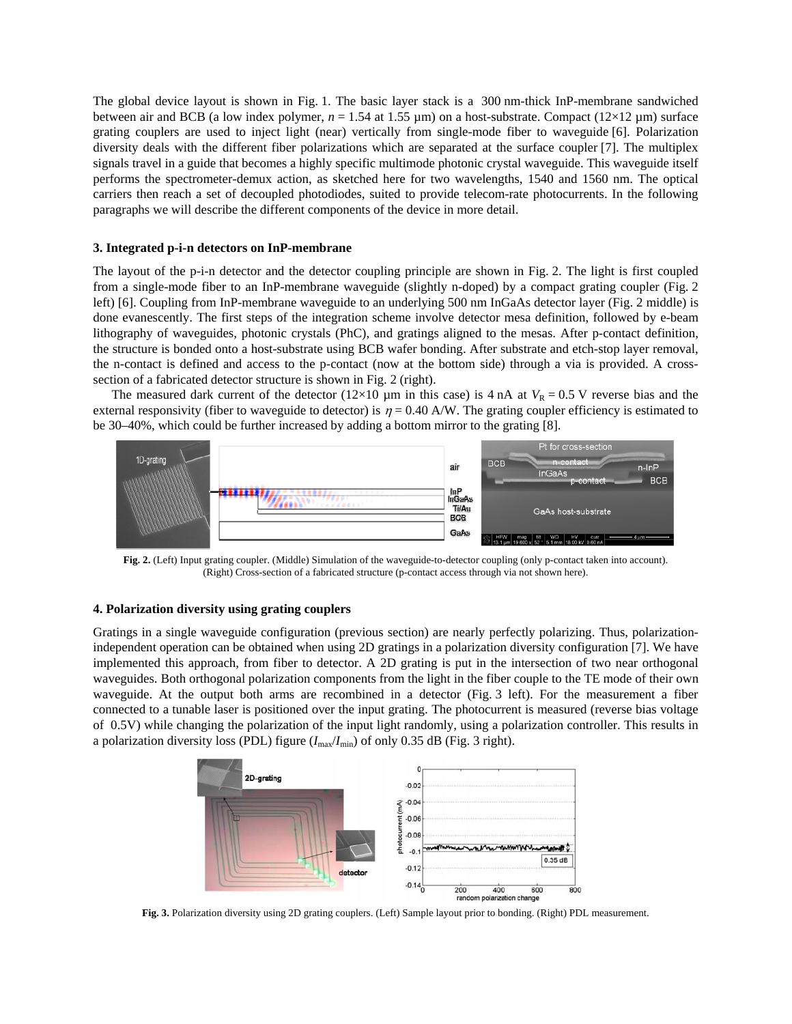The global device layout is shown in Fig. 1. The basic layer stack is a 300 nm-thick InP-membrane sandwiched between air and BCB (a low index polymer,  $n = 1.54$  at 1.55  $\mu$ m) on a host-substrate. Compact (12×12  $\mu$ m) surface grating couplers are used to inject light (near) vertically from single-mode fiber to waveguide [6]. Polarization diversity deals with the different fiber polarizations which are separated at the surface coupler [7]. The multiplex signals travel in a guide that becomes a highly specific multimode photonic crystal waveguide. This waveguide itself performs the spectrometer-demux action, as sketched here for two wavelengths, 1540 and 1560 nm. The optical carriers then reach a set of decoupled photodiodes, suited to provide telecom-rate photocurrents. In the following paragraphs we will describe the different components of the device in more detail.

## **3. Integrated p-i-n detectors on InP-membrane**

The layout of the p-i-n detector and the detector coupling principle are shown in Fig. 2. The light is first coupled from a single-mode fiber to an InP-membrane waveguide (slightly n-doped) by a compact grating coupler (Fig. 2 left) [6]. Coupling from InP-membrane waveguide to an underlying 500 nm InGaAs detector layer (Fig. 2 middle) is done evanescently. The first steps of the integration scheme involve detector mesa definition, followed by e-beam lithography of waveguides, photonic crystals (PhC), and gratings aligned to the mesas. After p-contact definition, the structure is bonded onto a host-substrate using BCB wafer bonding. After substrate and etch-stop layer removal, the n-contact is defined and access to the p-contact (now at the bottom side) through a via is provided. A crosssection of a fabricated detector structure is shown in Fig. 2 (right).

The measured dark current of the detector ( $12\times10$  µm in this case) is 4 nA at  $V_R = 0.5$  V reverse bias and the external responsivity (fiber to waveguide to detector) is  $\eta = 0.40$  A/W. The grating coupler efficiency is estimated to be 30–40%, which could be further increased by adding a bottom mirror to the grating [8].



**Fig. 2.** (Left) Input grating coupler. (Middle) Simulation of the waveguide-to-detector coupling (only p-contact taken into account). (Right) Cross-section of a fabricated structure (p-contact access through via not shown here).

## **4. Polarization diversity using grating couplers**

Gratings in a single waveguide configuration (previous section) are nearly perfectly polarizing. Thus, polarizationindependent operation can be obtained when using 2D gratings in a polarization diversity configuration [7]. We have implemented this approach, from fiber to detector. A 2D grating is put in the intersection of two near orthogonal waveguides. Both orthogonal polarization components from the light in the fiber couple to the TE mode of their own waveguide. At the output both arms are recombined in a detector (Fig. 3 left). For the measurement a fiber connected to a tunable laser is positioned over the input grating. The photocurrent is measured (reverse bias voltage of 0.5V) while changing the polarization of the input light randomly, using a polarization controller. This results in a polarization diversity loss (PDL) figure  $(I_{\text{max}}/I_{\text{min}})$  of only 0.35 dB (Fig. 3 right).



**Fig. 3.** Polarization diversity using 2D grating couplers. (Left) Sample layout prior to bonding. (Right) PDL measurement.